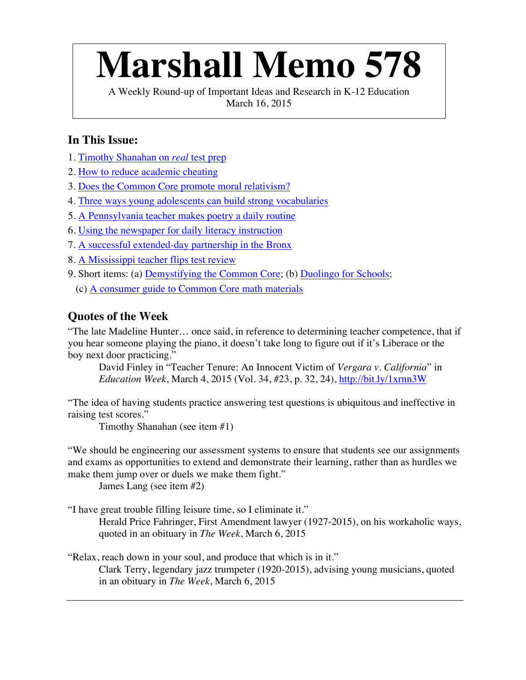# **Marshall Memo 578**

A Weekly Round-up of Important Ideas and Research in K-12 Education March 16, 2015

# **In This Issue:**

- 1. Timothy Shanahan on *real* test prep
- 2. How to reduce academic cheating
- 3. Does the Common Core promote moral relativism?
- 4. Three ways young adolescents can build strong vocabularies
- 5. A Pennsylvania teacher makes poetry a daily routine
- 6. Using the newspaper for daily literacy instruction
- 7. A successful extended-day partnership in the Bronx
- 8. A Mississippi teacher flips test review
- 9. Short items: (a) Demystifying the Common Core; (b) Duolingo for Schools;
	- (c) A consumer guide to Common Core math materials

# **Quotes of the Week**

"The late Madeline Hunter… once said, in reference to determining teacher competence, that if you hear someone playing the piano, it doesn't take long to figure out if it's Liberace or the boy next door practicing."

David Finley in "Teacher Tenure: An Innocent Victim of *Vergara v. California*" in *Education Week*, March 4, 2015 (Vol. 34, #23, p. 32, 24), http://bit.ly/1xrnn3W

"The idea of having students practice answering test questions is ubiquitous and ineffective in raising test scores."

Timothy Shanahan (see item #1)

"We should be engineering our assessment systems to ensure that students see our assignments and exams as opportunities to extend and demonstrate their learning, rather than as hurdles we make them jump over or duels we make them fight."

James Lang (see item #2)

"I have great trouble filling leisure time, so I eliminate it."

Herald Price Fahringer, First Amendment lawyer (1927-2015), on his workaholic ways, quoted in an obituary in *The Week*, March 6, 2015

"Relax, reach down in your soul, and produce that which is in it."

Clark Terry, legendary jazz trumpeter (1920-2015), advising young musicians, quoted in an obituary in *The Week*, March 6, 2015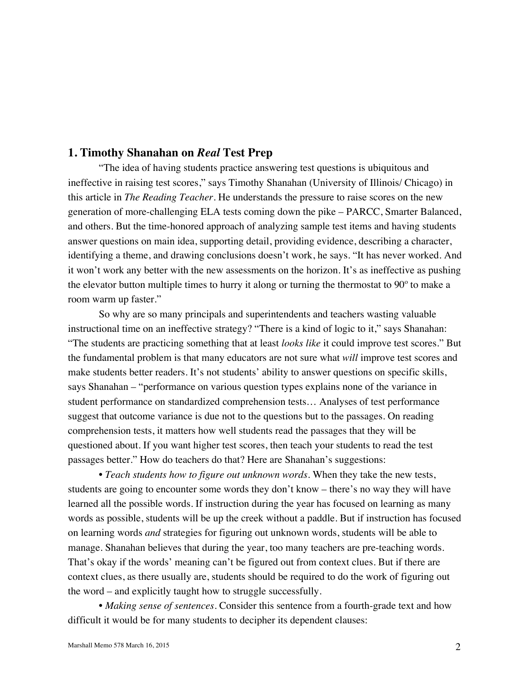#### **1. Timothy Shanahan on** *Real* **Test Prep**

"The idea of having students practice answering test questions is ubiquitous and ineffective in raising test scores," says Timothy Shanahan (University of Illinois/ Chicago) in this article in *The Reading Teacher*. He understands the pressure to raise scores on the new generation of more-challenging ELA tests coming down the pike – PARCC, Smarter Balanced, and others. But the time-honored approach of analyzing sample test items and having students answer questions on main idea, supporting detail, providing evidence, describing a character, identifying a theme, and drawing conclusions doesn't work, he says. "It has never worked. And it won't work any better with the new assessments on the horizon. It's as ineffective as pushing the elevator button multiple times to hurry it along or turning the thermostat to 90º to make a room warm up faster."

So why are so many principals and superintendents and teachers wasting valuable instructional time on an ineffective strategy? "There is a kind of logic to it," says Shanahan: "The students are practicing something that at least *looks like* it could improve test scores." But the fundamental problem is that many educators are not sure what *will* improve test scores and make students better readers. It's not students' ability to answer questions on specific skills, says Shanahan – "performance on various question types explains none of the variance in student performance on standardized comprehension tests… Analyses of test performance suggest that outcome variance is due not to the questions but to the passages. On reading comprehension tests, it matters how well students read the passages that they will be questioned about. If you want higher test scores, then teach your students to read the test passages better." How do teachers do that? Here are Shanahan's suggestions:

• *Teach students how to figure out unknown words*. When they take the new tests, students are going to encounter some words they don't know – there's no way they will have learned all the possible words. If instruction during the year has focused on learning as many words as possible, students will be up the creek without a paddle. But if instruction has focused on learning words *and* strategies for figuring out unknown words, students will be able to manage. Shanahan believes that during the year, too many teachers are pre-teaching words. That's okay if the words' meaning can't be figured out from context clues. But if there are context clues, as there usually are, students should be required to do the work of figuring out the word – and explicitly taught how to struggle successfully.

• *Making sense of sentences*. Consider this sentence from a fourth-grade text and how difficult it would be for many students to decipher its dependent clauses: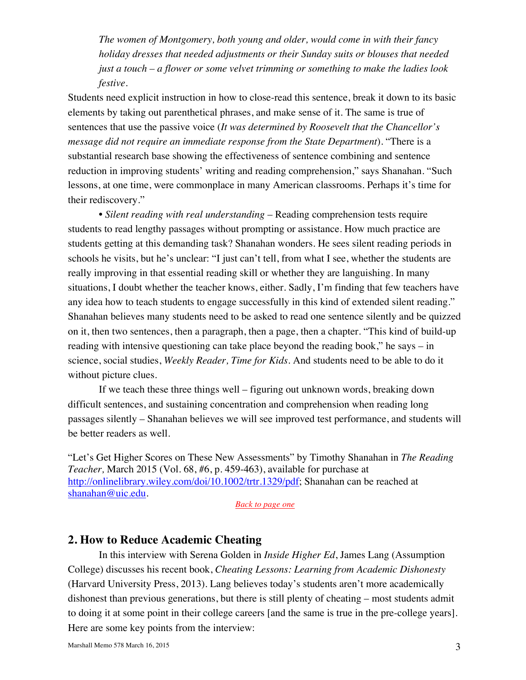*The women of Montgomery, both young and older, would come in with their fancy holiday dresses that needed adjustments or their Sunday suits or blouses that needed just a touch – a flower or some velvet trimming or something to make the ladies look festive.*

Students need explicit instruction in how to close-read this sentence, break it down to its basic elements by taking out parenthetical phrases, and make sense of it. The same is true of sentences that use the passive voice (*It was determined by Roosevelt that the Chancellor's message did not require an immediate response from the State Department*). "There is a substantial research base showing the effectiveness of sentence combining and sentence reduction in improving students' writing and reading comprehension," says Shanahan. "Such lessons, at one time, were commonplace in many American classrooms. Perhaps it's time for their rediscovery."

• *Silent reading with real understanding* – Reading comprehension tests require students to read lengthy passages without prompting or assistance. How much practice are students getting at this demanding task? Shanahan wonders. He sees silent reading periods in schools he visits, but he's unclear: "I just can't tell, from what I see, whether the students are really improving in that essential reading skill or whether they are languishing. In many situations, I doubt whether the teacher knows, either. Sadly, I'm finding that few teachers have any idea how to teach students to engage successfully in this kind of extended silent reading." Shanahan believes many students need to be asked to read one sentence silently and be quizzed on it, then two sentences, then a paragraph, then a page, then a chapter. "This kind of build-up reading with intensive questioning can take place beyond the reading book," he says – in science, social studies, *Weekly Reader, Time for Kids*. And students need to be able to do it without picture clues.

If we teach these three things well – figuring out unknown words, breaking down difficult sentences, and sustaining concentration and comprehension when reading long passages silently – Shanahan believes we will see improved test performance, and students will be better readers as well.

"Let's Get Higher Scores on These New Assessments" by Timothy Shanahan in *The Reading Teacher,* March 2015 (Vol. 68, #6, p. 459-463), available for purchase at http://onlinelibrary.wiley.com/doi/10.1002/trtr.1329/pdf; Shanahan can be reached at shanahan@uic.edu.

*Back to page one*

#### **2. How to Reduce Academic Cheating**

In this interview with Serena Golden in *Inside Higher Ed*, James Lang (Assumption College) discusses his recent book, *Cheating Lessons: Learning from Academic Dishonesty* (Harvard University Press, 2013). Lang believes today's students aren't more academically dishonest than previous generations, but there is still plenty of cheating – most students admit to doing it at some point in their college careers [and the same is true in the pre-college years]. Here are some key points from the interview: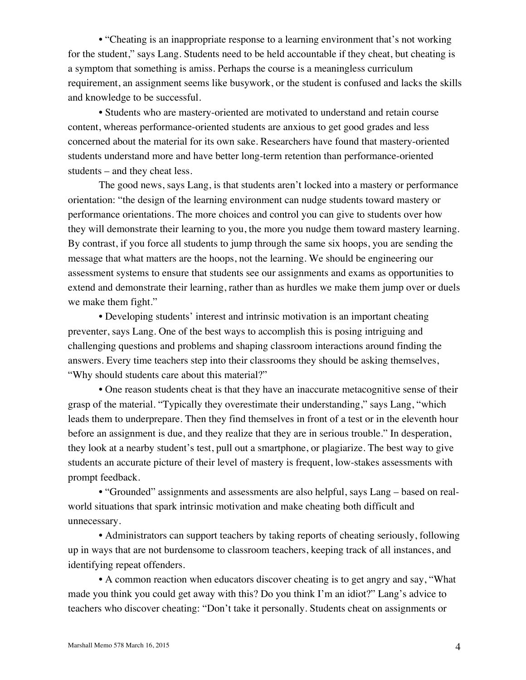• "Cheating is an inappropriate response to a learning environment that's not working for the student," says Lang. Students need to be held accountable if they cheat, but cheating is a symptom that something is amiss. Perhaps the course is a meaningless curriculum requirement, an assignment seems like busywork, or the student is confused and lacks the skills and knowledge to be successful.

• Students who are mastery-oriented are motivated to understand and retain course content, whereas performance-oriented students are anxious to get good grades and less concerned about the material for its own sake. Researchers have found that mastery-oriented students understand more and have better long-term retention than performance-oriented students – and they cheat less.

The good news, says Lang, is that students aren't locked into a mastery or performance orientation: "the design of the learning environment can nudge students toward mastery or performance orientations. The more choices and control you can give to students over how they will demonstrate their learning to you, the more you nudge them toward mastery learning. By contrast, if you force all students to jump through the same six hoops, you are sending the message that what matters are the hoops, not the learning. We should be engineering our assessment systems to ensure that students see our assignments and exams as opportunities to extend and demonstrate their learning, rather than as hurdles we make them jump over or duels we make them fight."

• Developing students' interest and intrinsic motivation is an important cheating preventer, says Lang. One of the best ways to accomplish this is posing intriguing and challenging questions and problems and shaping classroom interactions around finding the answers. Every time teachers step into their classrooms they should be asking themselves, "Why should students care about this material?"

• One reason students cheat is that they have an inaccurate metacognitive sense of their grasp of the material. "Typically they overestimate their understanding," says Lang, "which leads them to underprepare. Then they find themselves in front of a test or in the eleventh hour before an assignment is due, and they realize that they are in serious trouble." In desperation, they look at a nearby student's test, pull out a smartphone, or plagiarize. The best way to give students an accurate picture of their level of mastery is frequent, low-stakes assessments with prompt feedback.

• "Grounded" assignments and assessments are also helpful, says Lang – based on realworld situations that spark intrinsic motivation and make cheating both difficult and unnecessary.

• Administrators can support teachers by taking reports of cheating seriously, following up in ways that are not burdensome to classroom teachers, keeping track of all instances, and identifying repeat offenders.

• A common reaction when educators discover cheating is to get angry and say, "What made you think you could get away with this? Do you think I'm an idiot?" Lang's advice to teachers who discover cheating: "Don't take it personally. Students cheat on assignments or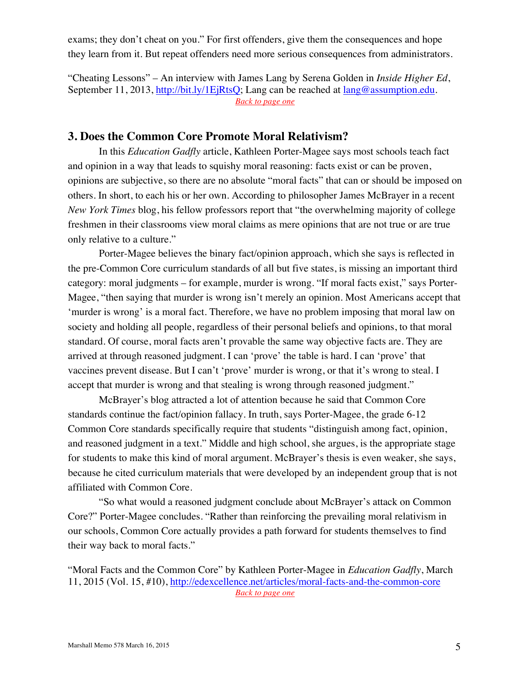exams; they don't cheat on you." For first offenders, give them the consequences and hope they learn from it. But repeat offenders need more serious consequences from administrators.

"Cheating Lessons" – An interview with James Lang by Serena Golden in *Inside Higher Ed*, September 11, 2013, http://bit.ly/1EjRtsQ; Lang can be reached at lang@assumption.edu. *Back to page one*

## **3. Does the Common Core Promote Moral Relativism?**

In this *Education Gadfly* article, Kathleen Porter-Magee says most schools teach fact and opinion in a way that leads to squishy moral reasoning: facts exist or can be proven, opinions are subjective, so there are no absolute "moral facts" that can or should be imposed on others. In short, to each his or her own. According to philosopher James McBrayer in a recent *New York Times* blog, his fellow professors report that "the overwhelming majority of college freshmen in their classrooms view moral claims as mere opinions that are not true or are true only relative to a culture."

Porter-Magee believes the binary fact/opinion approach, which she says is reflected in the pre-Common Core curriculum standards of all but five states, is missing an important third category: moral judgments – for example, murder is wrong. "If moral facts exist," says Porter-Magee, "then saying that murder is wrong isn't merely an opinion. Most Americans accept that 'murder is wrong' is a moral fact. Therefore, we have no problem imposing that moral law on society and holding all people, regardless of their personal beliefs and opinions, to that moral standard. Of course, moral facts aren't provable the same way objective facts are. They are arrived at through reasoned judgment. I can 'prove' the table is hard. I can 'prove' that vaccines prevent disease. But I can't 'prove' murder is wrong, or that it's wrong to steal. I accept that murder is wrong and that stealing is wrong through reasoned judgment."

McBrayer's blog attracted a lot of attention because he said that Common Core standards continue the fact/opinion fallacy. In truth, says Porter-Magee, the grade 6-12 Common Core standards specifically require that students "distinguish among fact, opinion, and reasoned judgment in a text." Middle and high school, she argues, is the appropriate stage for students to make this kind of moral argument. McBrayer's thesis is even weaker, she says, because he cited curriculum materials that were developed by an independent group that is not affiliated with Common Core.

"So what would a reasoned judgment conclude about McBrayer's attack on Common Core?" Porter-Magee concludes. "Rather than reinforcing the prevailing moral relativism in our schools, Common Core actually provides a path forward for students themselves to find their way back to moral facts."

"Moral Facts and the Common Core" by Kathleen Porter-Magee in *Education Gadfly*, March 11, 2015 (Vol. 15, #10), http://edexcellence.net/articles/moral-facts-and-the-common-core *Back to page one*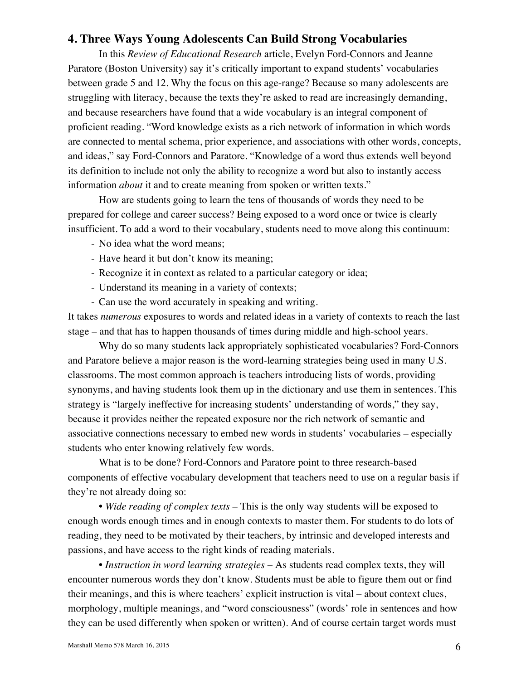#### **4. Three Ways Young Adolescents Can Build Strong Vocabularies**

In this *Review of Educational Research* article, Evelyn Ford-Connors and Jeanne Paratore (Boston University) say it's critically important to expand students' vocabularies between grade 5 and 12. Why the focus on this age-range? Because so many adolescents are struggling with literacy, because the texts they're asked to read are increasingly demanding, and because researchers have found that a wide vocabulary is an integral component of proficient reading. "Word knowledge exists as a rich network of information in which words are connected to mental schema, prior experience, and associations with other words, concepts, and ideas," say Ford-Connors and Paratore. "Knowledge of a word thus extends well beyond its definition to include not only the ability to recognize a word but also to instantly access information *about* it and to create meaning from spoken or written texts."

How are students going to learn the tens of thousands of words they need to be prepared for college and career success? Being exposed to a word once or twice is clearly insufficient. To add a word to their vocabulary, students need to move along this continuum:

- No idea what the word means;
- Have heard it but don't know its meaning;
- Recognize it in context as related to a particular category or idea;
- Understand its meaning in a variety of contexts;
- Can use the word accurately in speaking and writing.

It takes *numerous* exposures to words and related ideas in a variety of contexts to reach the last stage – and that has to happen thousands of times during middle and high-school years.

Why do so many students lack appropriately sophisticated vocabularies? Ford-Connors and Paratore believe a major reason is the word-learning strategies being used in many U.S. classrooms. The most common approach is teachers introducing lists of words, providing synonyms, and having students look them up in the dictionary and use them in sentences. This strategy is "largely ineffective for increasing students' understanding of words," they say, because it provides neither the repeated exposure nor the rich network of semantic and associative connections necessary to embed new words in students' vocabularies – especially students who enter knowing relatively few words.

What is to be done? Ford-Connors and Paratore point to three research-based components of effective vocabulary development that teachers need to use on a regular basis if they're not already doing so:

• *Wide reading of complex texts* – This is the only way students will be exposed to enough words enough times and in enough contexts to master them. For students to do lots of reading, they need to be motivated by their teachers, by intrinsic and developed interests and passions, and have access to the right kinds of reading materials.

• *Instruction in word learning strategies* – As students read complex texts, they will encounter numerous words they don't know. Students must be able to figure them out or find their meanings, and this is where teachers' explicit instruction is vital – about context clues, morphology, multiple meanings, and "word consciousness" (words' role in sentences and how they can be used differently when spoken or written). And of course certain target words must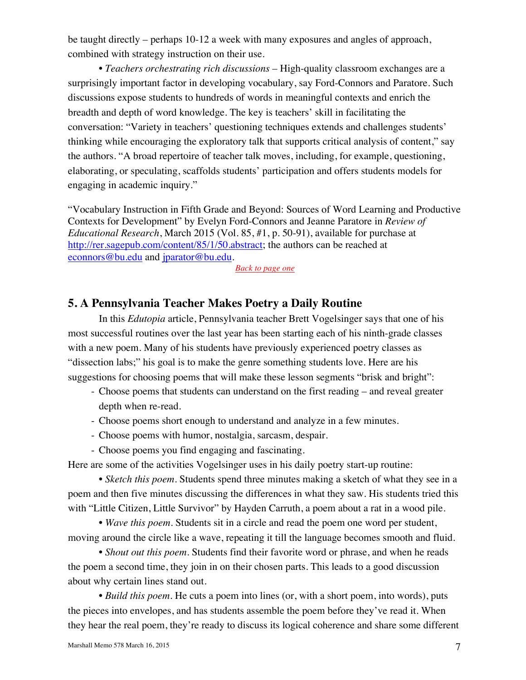be taught directly – perhaps 10-12 a week with many exposures and angles of approach, combined with strategy instruction on their use.

• *Teachers orchestrating rich discussions* – High-quality classroom exchanges are a surprisingly important factor in developing vocabulary, say Ford-Connors and Paratore. Such discussions expose students to hundreds of words in meaningful contexts and enrich the breadth and depth of word knowledge. The key is teachers' skill in facilitating the conversation: "Variety in teachers' questioning techniques extends and challenges students' thinking while encouraging the exploratory talk that supports critical analysis of content," say the authors. "A broad repertoire of teacher talk moves, including, for example, questioning, elaborating, or speculating, scaffolds students' participation and offers students models for engaging in academic inquiry."

"Vocabulary Instruction in Fifth Grade and Beyond: Sources of Word Learning and Productive Contexts for Development" by Evelyn Ford-Connors and Jeanne Paratore in *Review of Educational Research*, March 2015 (Vol. 85, #1, p. 50-91), available for purchase at http://rer.sagepub.com/content/85/1/50.abstract; the authors can be reached at econnors@bu.edu and jparator@bu.edu.

*Back to page one*

#### **5. A Pennsylvania Teacher Makes Poetry a Daily Routine**

In this *Edutopia* article, Pennsylvania teacher Brett Vogelsinger says that one of his most successful routines over the last year has been starting each of his ninth-grade classes with a new poem. Many of his students have previously experienced poetry classes as "dissection labs;" his goal is to make the genre something students love. Here are his suggestions for choosing poems that will make these lesson segments "brisk and bright":

- Choose poems that students can understand on the first reading and reveal greater depth when re-read.
- Choose poems short enough to understand and analyze in a few minutes.
- Choose poems with humor, nostalgia, sarcasm, despair.
- Choose poems you find engaging and fascinating.

Here are some of the activities Vogelsinger uses in his daily poetry start-up routine:

• *Sketch this poem*. Students spend three minutes making a sketch of what they see in a poem and then five minutes discussing the differences in what they saw. His students tried this with "Little Citizen, Little Survivor" by Hayden Carruth, a poem about a rat in a wood pile.

• *Wave this poem*. Students sit in a circle and read the poem one word per student, moving around the circle like a wave, repeating it till the language becomes smooth and fluid.

• *Shout out this poem*. Students find their favorite word or phrase, and when he reads the poem a second time, they join in on their chosen parts. This leads to a good discussion about why certain lines stand out.

• *Build this poem*. He cuts a poem into lines (or, with a short poem, into words), puts the pieces into envelopes, and has students assemble the poem before they've read it. When they hear the real poem, they're ready to discuss its logical coherence and share some different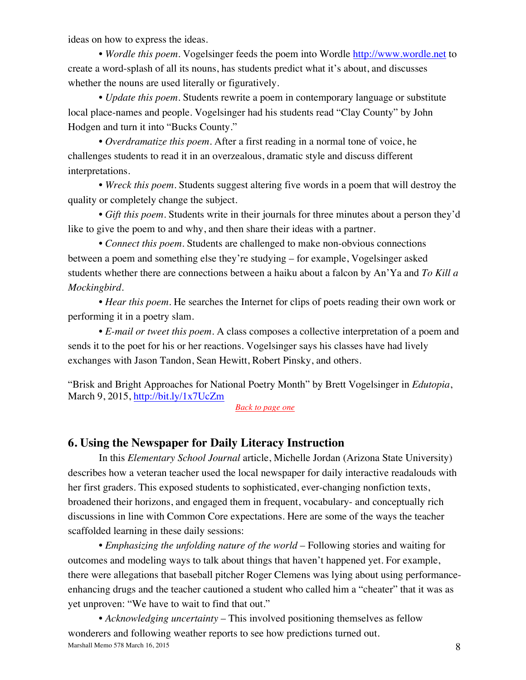ideas on how to express the ideas.

• *Wordle this poem*. Vogelsinger feeds the poem into Wordle http://www.wordle.net to create a word-splash of all its nouns, has students predict what it's about, and discusses whether the nouns are used literally or figuratively.

• *Update this poem*. Students rewrite a poem in contemporary language or substitute local place-names and people. Vogelsinger had his students read "Clay County" by John Hodgen and turn it into "Bucks County."

• *Overdramatize this poem*. After a first reading in a normal tone of voice, he challenges students to read it in an overzealous, dramatic style and discuss different interpretations.

• *Wreck this poem*. Students suggest altering five words in a poem that will destroy the quality or completely change the subject.

• *Gift this poem*. Students write in their journals for three minutes about a person they'd like to give the poem to and why, and then share their ideas with a partner.

• *Connect this poem*. Students are challenged to make non-obvious connections between a poem and something else they're studying – for example, Vogelsinger asked students whether there are connections between a haiku about a falcon by An'Ya and *To Kill a Mockingbird*.

• *Hear this poem*. He searches the Internet for clips of poets reading their own work or performing it in a poetry slam.

• *E-mail or tweet this poem*. A class composes a collective interpretation of a poem and sends it to the poet for his or her reactions. Vogelsinger says his classes have had lively exchanges with Jason Tandon, Sean Hewitt, Robert Pinsky, and others.

"Brisk and Bright Approaches for National Poetry Month" by Brett Vogelsinger in *Edutopia*, March 9, 2015, http://bit.ly/1x7UcZm

*Back to page one*

#### **6. Using the Newspaper for Daily Literacy Instruction**

In this *Elementary School Journal* article, Michelle Jordan (Arizona State University) describes how a veteran teacher used the local newspaper for daily interactive readalouds with her first graders. This exposed students to sophisticated, ever-changing nonfiction texts, broadened their horizons, and engaged them in frequent, vocabulary- and conceptually rich discussions in line with Common Core expectations. Here are some of the ways the teacher scaffolded learning in these daily sessions:

• *Emphasizing the unfolding nature of the world* – Following stories and waiting for outcomes and modeling ways to talk about things that haven't happened yet. For example, there were allegations that baseball pitcher Roger Clemens was lying about using performanceenhancing drugs and the teacher cautioned a student who called him a "cheater" that it was as yet unproven: "We have to wait to find that out."

Marshall Memo 578 March 16, 2015 • *Acknowledging uncertainty* – This involved positioning themselves as fellow wonderers and following weather reports to see how predictions turned out.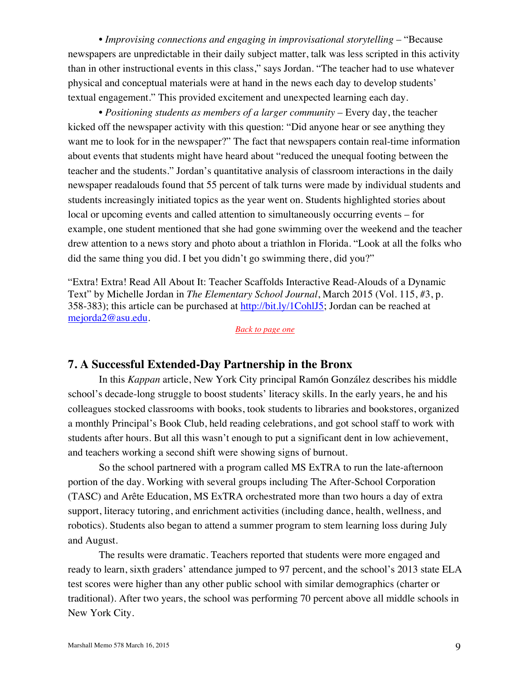• *Improvising connections and engaging in improvisational storytelling* – "Because newspapers are unpredictable in their daily subject matter, talk was less scripted in this activity than in other instructional events in this class," says Jordan. "The teacher had to use whatever physical and conceptual materials were at hand in the news each day to develop students' textual engagement." This provided excitement and unexpected learning each day.

• *Positioning students as members of a larger community* – Every day, the teacher kicked off the newspaper activity with this question: "Did anyone hear or see anything they want me to look for in the newspaper?" The fact that newspapers contain real-time information about events that students might have heard about "reduced the unequal footing between the teacher and the students." Jordan's quantitative analysis of classroom interactions in the daily newspaper readalouds found that 55 percent of talk turns were made by individual students and students increasingly initiated topics as the year went on. Students highlighted stories about local or upcoming events and called attention to simultaneously occurring events – for example, one student mentioned that she had gone swimming over the weekend and the teacher drew attention to a news story and photo about a triathlon in Florida. "Look at all the folks who did the same thing you did. I bet you didn't go swimming there, did you?"

"Extra! Extra! Read All About It: Teacher Scaffolds Interactive Read-Alouds of a Dynamic Text" by Michelle Jordan in *The Elementary School Journal*, March 2015 (Vol. 115, #3, p. 358-383); this article can be purchased at http://bit.ly/1CohlJ5; Jordan can be reached at mejorda2@asu.edu.

*Back to page one*

#### **7. A Successful Extended-Day Partnership in the Bronx**

In this *Kappan* article, New York City principal Ramón González describes his middle school's decade-long struggle to boost students' literacy skills. In the early years, he and his colleagues stocked classrooms with books, took students to libraries and bookstores, organized a monthly Principal's Book Club, held reading celebrations, and got school staff to work with students after hours. But all this wasn't enough to put a significant dent in low achievement, and teachers working a second shift were showing signs of burnout.

So the school partnered with a program called MS ExTRA to run the late-afternoon portion of the day. Working with several groups including The After-School Corporation (TASC) and Arête Education, MS ExTRA orchestrated more than two hours a day of extra support, literacy tutoring, and enrichment activities (including dance, health, wellness, and robotics). Students also began to attend a summer program to stem learning loss during July and August.

The results were dramatic. Teachers reported that students were more engaged and ready to learn, sixth graders' attendance jumped to 97 percent, and the school's 2013 state ELA test scores were higher than any other public school with similar demographics (charter or traditional). After two years, the school was performing 70 percent above all middle schools in New York City.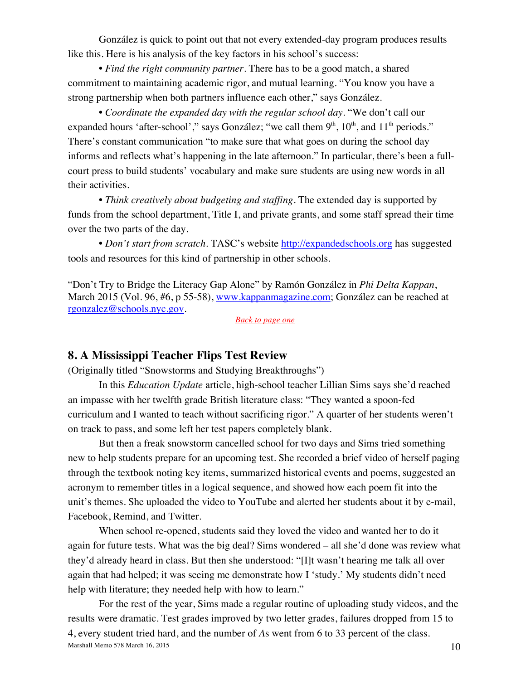González is quick to point out that not every extended-day program produces results like this. Here is his analysis of the key factors in his school's success:

• *Find the right community partner*. There has to be a good match, a shared commitment to maintaining academic rigor, and mutual learning. "You know you have a strong partnership when both partners influence each other," says González.

• *Coordinate the expanded day with the regular school day*. "We don't call our expanded hours 'after-school'," says González; "we call them  $9<sup>th</sup>$ ,  $10<sup>th</sup>$ , and  $11<sup>th</sup>$  periods." There's constant communication "to make sure that what goes on during the school day informs and reflects what's happening in the late afternoon." In particular, there's been a fullcourt press to build students' vocabulary and make sure students are using new words in all their activities.

• *Think creatively about budgeting and staffing*. The extended day is supported by funds from the school department, Title I, and private grants, and some staff spread their time over the two parts of the day.

• *Don't start from scratch*. TASC's website http://expandedschools.org has suggested tools and resources for this kind of partnership in other schools.

"Don't Try to Bridge the Literacy Gap Alone" by Ramón González in *Phi Delta Kappan*, March 2015 (Vol. 96, #6, p 55-58), www.kappanmagazine.com; González can be reached at rgonzalez@schools.nyc.gov.

*Back to page one*

#### **8. A Mississippi Teacher Flips Test Review**

(Originally titled "Snowstorms and Studying Breakthroughs")

In this *Education Update* article, high-school teacher Lillian Sims says she'd reached an impasse with her twelfth grade British literature class: "They wanted a spoon-fed curriculum and I wanted to teach without sacrificing rigor." A quarter of her students weren't on track to pass, and some left her test papers completely blank.

But then a freak snowstorm cancelled school for two days and Sims tried something new to help students prepare for an upcoming test. She recorded a brief video of herself paging through the textbook noting key items, summarized historical events and poems, suggested an acronym to remember titles in a logical sequence, and showed how each poem fit into the unit's themes. She uploaded the video to YouTube and alerted her students about it by e-mail, Facebook, Remind, and Twitter.

When school re-opened, students said they loved the video and wanted her to do it again for future tests. What was the big deal? Sims wondered – all she'd done was review what they'd already heard in class. But then she understood: "[I]t wasn't hearing me talk all over again that had helped; it was seeing me demonstrate how I 'study.' My students didn't need help with literature; they needed help with how to learn."

Marshall Memo 578 March 16, 2015  $10$ For the rest of the year, Sims made a regular routine of uploading study videos, and the results were dramatic. Test grades improved by two letter grades, failures dropped from 15 to 4, every student tried hard, and the number of *A*s went from 6 to 33 percent of the class.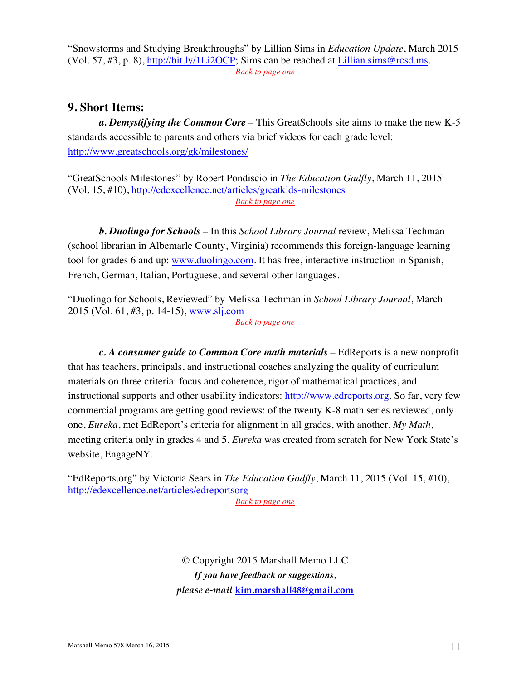"Snowstorms and Studying Breakthroughs" by Lillian Sims in *Education Update*, March 2015 (Vol. 57, #3, p. 8), http://bit.ly/1Li2OCP; Sims can be reached at Lillian.sims@rcsd.ms. *Back to page one*

## **9. Short Items:**

*a. Demystifying the Common Core* – This GreatSchools site aims to make the new K-5 standards accessible to parents and others via brief videos for each grade level: http://www.greatschools.org/gk/milestones/

"GreatSchools Milestones" by Robert Pondiscio in *The Education Gadfly*, March 11, 2015 (Vol. 15, #10), http://edexcellence.net/articles/greatkids-milestones *Back to page one*

*b. Duolingo for Schools* – In this *School Library Journal* review, Melissa Techman (school librarian in Albemarle County, Virginia) recommends this foreign-language learning tool for grades 6 and up: www.duolingo.com. It has free, interactive instruction in Spanish, French, German, Italian, Portuguese, and several other languages.

"Duolingo for Schools, Reviewed" by Melissa Techman in *School Library Journal*, March 2015 (Vol. 61, #3, p. 14-15), www.slj.com

*Back to page one*

*c. A consumer guide to Common Core math materials* – EdReports is a new nonprofit that has teachers, principals, and instructional coaches analyzing the quality of curriculum materials on three criteria: focus and coherence, rigor of mathematical practices, and instructional supports and other usability indicators: http://www.edreports.org. So far, very few commercial programs are getting good reviews: of the twenty K-8 math series reviewed, only one, *Eureka*, met EdReport's criteria for alignment in all grades, with another, *My Math*, meeting criteria only in grades 4 and 5. *Eureka* was created from scratch for New York State's website, EngageNY.

"EdReports.org" by Victoria Sears in *The Education Gadfly*, March 11, 2015 (Vol. 15, #10), http://edexcellence.net/articles/edreportsorg

*Back to page one*

© Copyright 2015 Marshall Memo LLC *If you have feedback or suggestions, please e-mail* **kim.marshall48@gmail.com**